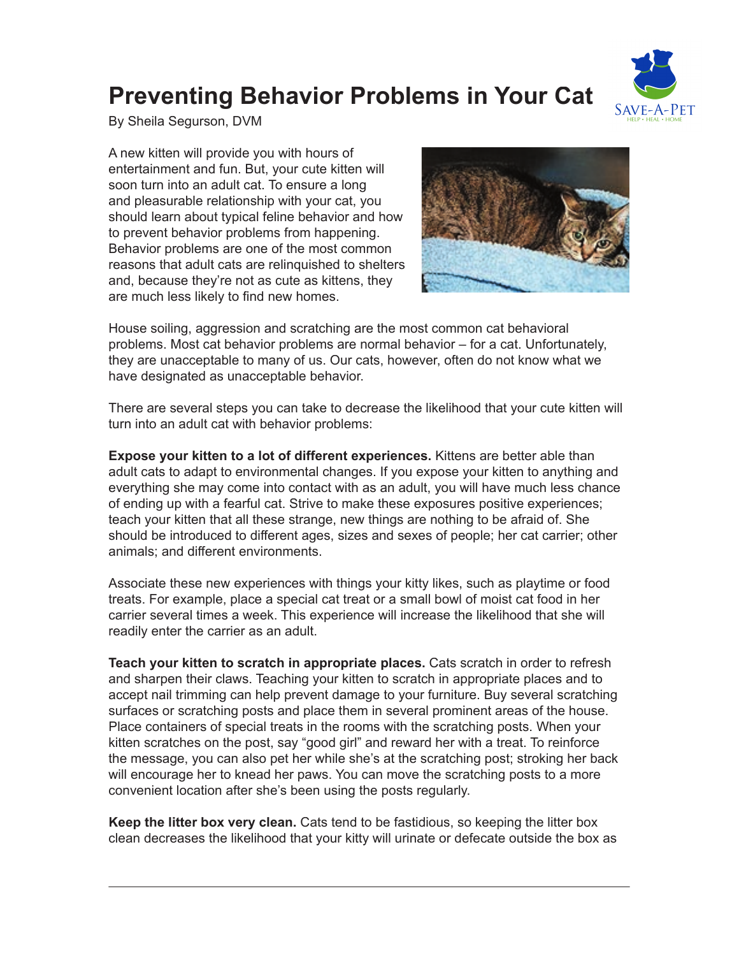## **Preventing Behavior Problems in Your Cat**



By Sheila Segurson, DVM

A new kitten will provide you with hours of entertainment and fun. But, your cute kitten will soon turn into an adult cat. To ensure a long and pleasurable relationship with your cat, you should learn about typical feline behavior and how to prevent behavior problems from happening. Behavior problems are one of the most common reasons that adult cats are relinquished to shelters and, because they're not as cute as kittens, they are much less likely to find new homes.



House soiling, aggression and scratching are the most common cat behavioral problems. Most cat behavior problems are normal behavior – for a cat. Unfortunately, they are unacceptable to many of us. Our cats, however, often do not know what we have designated as unacceptable behavior.

There are several steps you can take to decrease the likelihood that your cute kitten will turn into an adult cat with behavior problems:

**Expose your kitten to a lot of different experiences.** Kittens are better able than adult cats to adapt to environmental changes. If you expose your kitten to anything and everything she may come into contact with as an adult, you will have much less chance of ending up with a fearful cat. Strive to make these exposures positive experiences; teach your kitten that all these strange, new things are nothing to be afraid of. She should be introduced to different ages, sizes and sexes of people; her cat carrier; other animals; and different environments.

Associate these new experiences with things your kitty likes, such as playtime or food treats. For example, place a special cat treat or a small bowl of moist cat food in her carrier several times a week. This experience will increase the likelihood that she will readily enter the carrier as an adult.

**Teach your kitten to scratch in appropriate places.** Cats scratch in order to refresh and sharpen their claws. Teaching your kitten to scratch in appropriate places and to accept nail trimming can help prevent damage to your furniture. Buy several scratching surfaces or scratching posts and place them in several prominent areas of the house. Place containers of special treats in the rooms with the scratching posts. When your kitten scratches on the post, say "good girl" and reward her with a treat. To reinforce the message, you can also pet her while she's at the scratching post; stroking her back will encourage her to knead her paws. You can move the scratching posts to a more convenient location after she's been using the posts regularly.

**Keep the litter box very clean.** Cats tend to be fastidious, so keeping the litter box clean decreases the likelihood that your kitty will urinate or defecate outside the box as